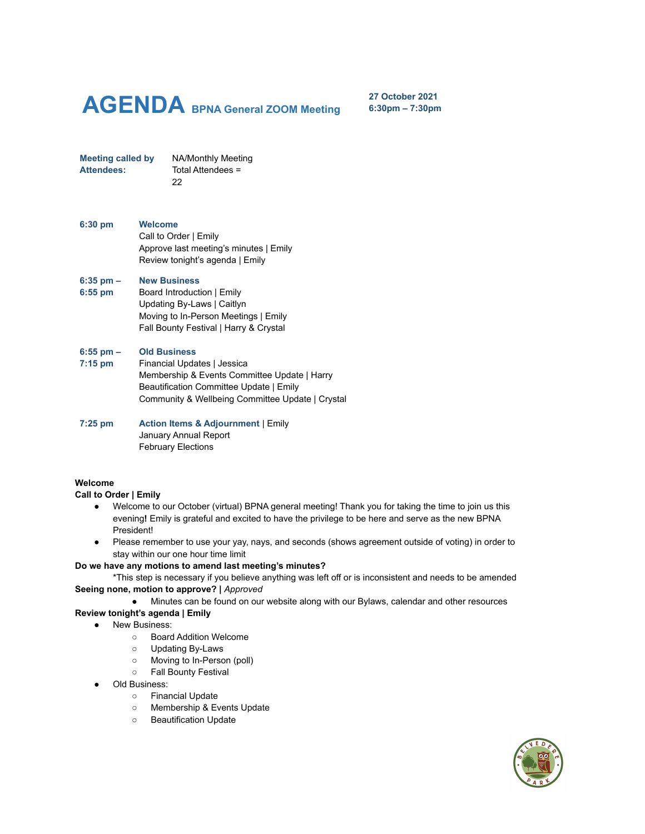# **AGENDA BPNA General ZOOM Meeting**

**27 October 2021 6:30pm – 7:30pm**

**Meeting called by** NA/Monthly Meeting **Attendees:** Total Attendees = 22

**6:30 pm Welcome** Call to Order | Emily Approve last meeting's minutes | Emily Review tonight's agenda | Emily

#### **6:35 pm – New Business**

**6:55 pm** Board Introduction | Emily Updating By-Laws | Caitlyn Moving to In-Person Meetings | Emily Fall Bounty Festival | Harry & Crystal

#### **6:55 pm – Old Business**

**7:15 pm** Financial Updates | Jessica Membership & Events Committee Update | Harry Beautification Committee Update | Emily Community & Wellbeing Committee Update | Crystal

**7:25 pm Action Items & Adjournment** | Emily January Annual Report February Elections

#### **Welcome**

#### **Call to Order | Emily**

- **●** Welcome to our October (virtual) BPNA general meeting! Thank you for taking the time to join us this evening**!** Emily is grateful and excited to have the privilege to be here and serve as the new BPNA President!
- Please remember to use your yay, nays, and seconds (shows agreement outside of voting) in order to stay within our one hour time limit

# **Do we have any motions to amend last meeting's minutes?**

\*This step is necessary if you believe anything was left off or is inconsistent and needs to be amended **Seeing none, motion to approve? |** *Approved*

● Minutes can be found on our website along with our Bylaws, calendar and other resources

# **Review tonight's agenda | Emily**

- New Business:
	- Board Addition Welcome
	- Updating By-Laws
	- Moving to In-Person (poll)
	- Fall Bounty Festival
	- Old Business:
		- Financial Update
		- Membership & Events Update
		- Beautification Update

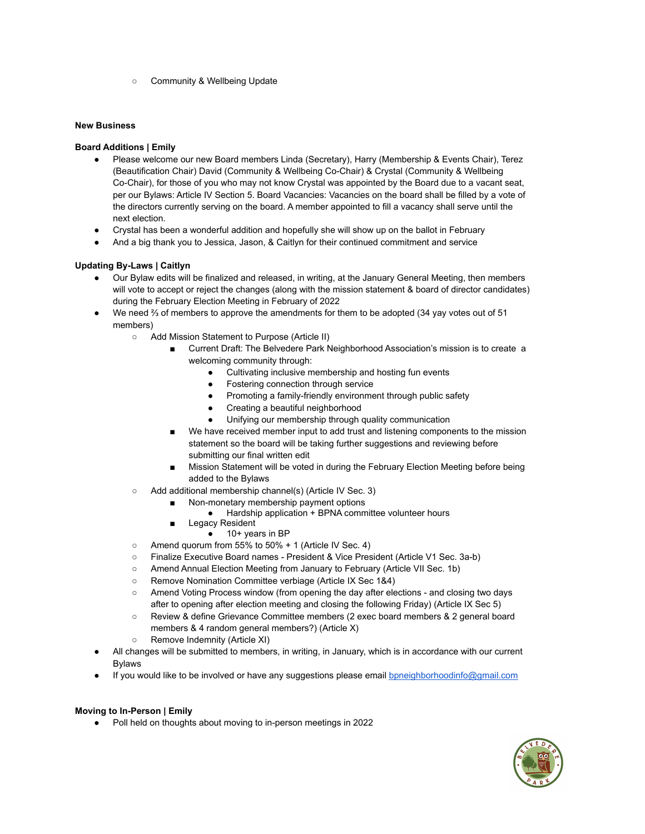○ Community & Wellbeing Update

## **New Business**

## **Board Additions | Emily**

- Please welcome our new Board members Linda (Secretary), Harry (Membership & Events Chair), Terez (Beautification Chair) David (Community & Wellbeing Co-Chair) & Crystal (Community & Wellbeing Co-Chair), for those of you who may not know Crystal was appointed by the Board due to a vacant seat, per our Bylaws: Article IV Section 5. Board Vacancies: Vacancies on the board shall be filled by a vote of the directors currently serving on the board. A member appointed to fill a vacancy shall serve until the next election.
- Crystal has been a wonderful addition and hopefully she will show up on the ballot in February
- And a big thank you to Jessica, Jason, & Caitlyn for their continued commitment and service

# **Updating By-Laws | Caitlyn**

- Our Bylaw edits will be finalized and released, in writing, at the January General Meeting, then members will vote to accept or reject the changes (along with the mission statement & board of director candidates) during the February Election Meeting in February of 2022
- We need % of members to approve the amendments for them to be adopted (34 yay votes out of 51 members)
	- Add Mission Statement to Purpose (Article II)
		- Current Draft: The Belvedere Park Neighborhood Association's mission is to create a welcoming community through:
			- Cultivating inclusive membership and hosting fun events
			- **Fostering connection through service**
			- Promoting a family-friendly environment through public safety
			- Creating a beautiful neighborhood
			- Unifying our membership through quality communication
		- We have received member input to add trust and listening components to the mission statement so the board will be taking further suggestions and reviewing before submitting our final written edit
		- Mission Statement will be voted in during the February Election Meeting before being added to the Bylaws
	- Add additional membership channel(s) (Article IV Sec. 3)
		- Non-monetary membership payment options
			- Hardship application + BPNA committee volunteer hours
		- Legacy Resident
			- 10+ years in BP
	- $\circ$  Amend quorum from 55% to 50% + 1 (Article IV Sec. 4)
	- Finalize Executive Board names President & Vice President (Article V1 Sec. 3a-b)
	- Amend Annual Election Meeting from January to February (Article VII Sec. 1b)
	- Remove Nomination Committee verbiage (Article IX Sec 1&4)
	- Amend Voting Process window (from opening the day after elections and closing two days after to opening after election meeting and closing the following Friday) (Article IX Sec 5)
	- Review & define Grievance Committee members (2 exec board members & 2 general board members & 4 random general members?) (Article X)
	- Remove Indemnity (Article XI)
- All changes will be submitted to members, in writing, in January, which is in accordance with our current **Bylaws**
- If you would like to be involved or have any suggestions please email [bpneighborhoodinfo@gmail.com](mailto:bpneighborhoodinfo@gmail.com)

# **Moving to In-Person | Emily**

● Poll held on thoughts about moving to in-person meetings in 2022

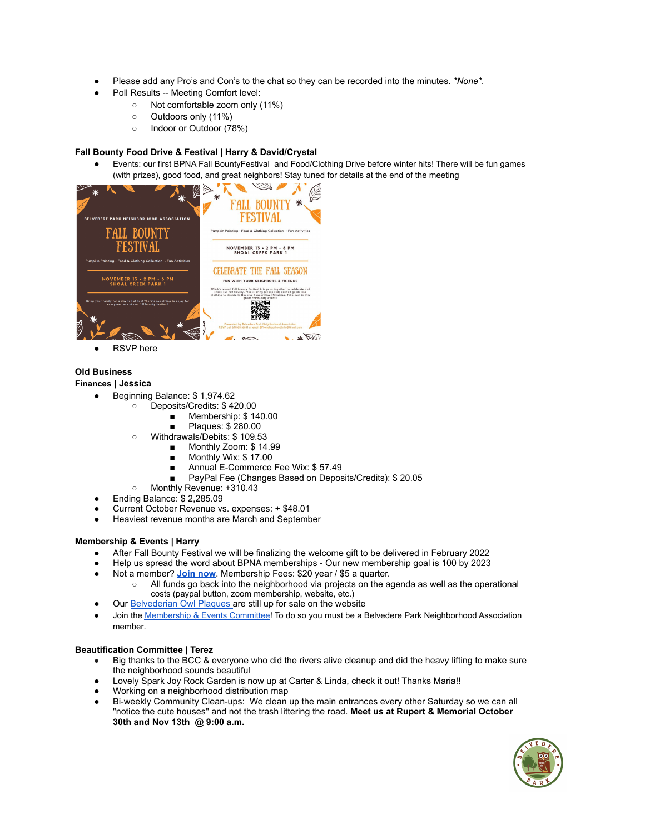- Please add any Pro's and Con's to the chat so they can be recorded into the minutes. *\*None\*.*
- Poll Results -- Meeting Comfort level:
	- Not comfortable zoom only (11%)
	- Outdoors only (11%)
	- Indoor or Outdoor (78%)

# **Fall Bounty Food Drive & Festival | Harry & David/Crystal**

Events: our first BPNA Fall BountyFestival and Food/Clothing Drive before winter hits! There will be fun games (with prizes), good food, and great neighbors! Stay tuned for details at the end of the meeting



**RSVP** here

## **Old Business**

#### **Finances | Jessica**

- Beginning Balance: \$1,974.62
	- Deposits/Credits: \$ 420.00
		- Membership: \$140.00
		- Plaques: \$280.00
	- Withdrawals/Debits: \$ 109.53
		- Monthly Zoom: \$ 14.99
		- Monthly Wix: \$17.00
		- Annual E-Commerce Fee Wix: \$57.49
		- PayPal Fee (Changes Based on Deposits/Credits): \$20.05
	- Monthly Revenue: +310.43
- Ending Balance: \$ 2,285.09
- Current October Revenue vs. expenses: + \$48.01
- Heaviest revenue months are March and September

#### **Membership & Events | Harry**

- After Fall Bounty Festival we will be finalizing the welcome gift to be delivered in February 2022
- Help us spread the word about BPNA memberships Our new membership goal is 100 by 2023
- Not a member? **[Join](https://www.belvederepark.org/association-memberships) now**. Membership Fees: \$20 year / \$5 a quarter. All funds go back into the neighborhood via projects on the agenda as well as the operational
	- costs (paypal button, zoom membership, website, etc.)
- Our [Belvederian](https://www.belvederepark.org/association-memberships) Owl Plaques are still up for sale on the website
- Join the [Membership](https://nextdoor.com/g/0qul2pall/) & Events Committee! To do so you must be a Belvedere Park [Neighborhood](https://www.belvederepark.org/association-memberships) Association [member.](https://www.belvederepark.org/association-memberships)

# **Beautification Committee | Terez**

- Big thanks to the BCC & everyone who did the rivers alive cleanup and did the heavy lifting to make sure the neighborhood sounds beautiful
- Lovely Spark Joy Rock Garden is now up at Carter & Linda, check it out! Thanks Maria!!
- Working on a neighborhood distribution map
- Bi-weekly [Community](https://nextdoor.com/events/3854432/) Clean-ups: We clean up the main entrances every other Saturday so we can all "notice the cute houses'' and not the trash littering the road. **Meet us at Rupert & Memorial October 30th and Nov 13th @ 9:00 a.m.**